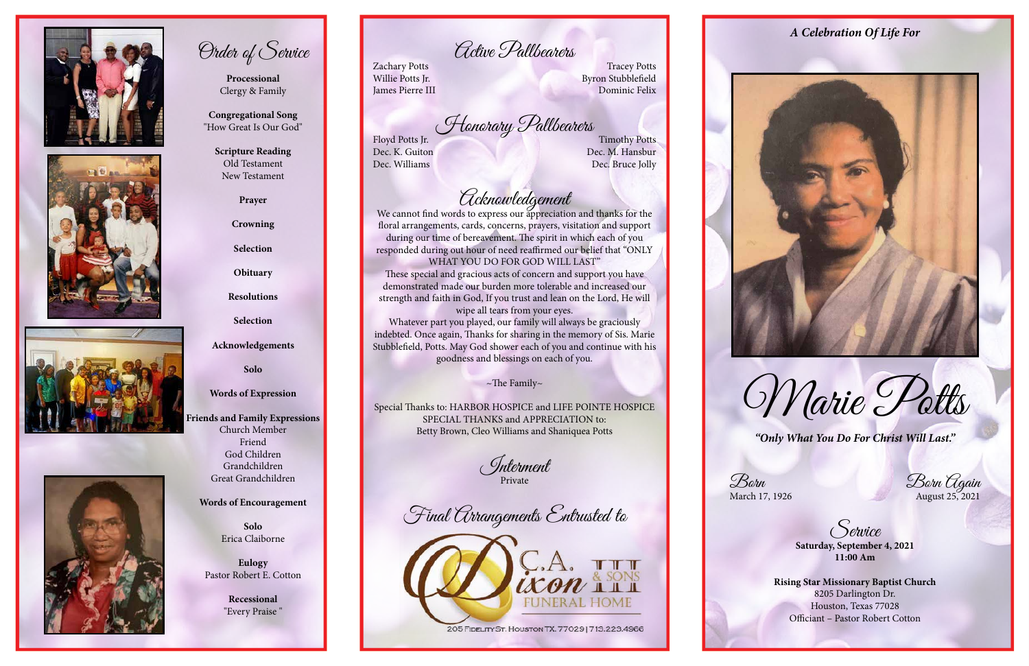*"Only What You Do For Christ Will Last."*

Born<br>March 17, 1926 Born August 25, 2021

Service **Saturday, September 4, 2021 11:00 Am**

**Rising Star Missionary Baptist Church**  8205 Darlington Dr. Houston, Texas 77028 Officiant – Pastor Robert Cotton



Marie Potts









Order of Service

**Processional**  Clergy & Family

**Congregational Song** "How Great Is Our God" Zachary Potts Tracey Potts Willie Potts Jr. Byron Stubblefield **James Pierre III** Dominic Felix

Floyd Potts Jr. *Honorary Pallbearers*<br>Dec. K. Guiton Dec. M. Hansbur

Dec. M. Hansbur Dec. Williams Dec. Bruce Jolly

# *Colenowledgement*<br>We cannot find words to express our appreciation and thanks for the

**Scripture Reading** Old Testament New Testament

**Prayer**

**Crowning**

**Selection**

**Obituary**

**Resolutions**

**Selection**

**Acknowledgements**

**Solo**

**Words of Expression**

**Friends and Family Expressions** Church Member Friend God Children Grandchildren

Great Grandchildren

### **Words of Encouragement**

**Solo** Erica Claiborne

**Eulogy** Pastor Robert E. Cotton

> **Recessional** "Every Praise "

Active Pallbearers

floral arrangements, cards, concerns, prayers, visitation and support during our time of bereavement. The spirit in which each of you responded during out hour of need reaffirmed our belief that "ONLY WHAT YOU DO FOR GOD WILL LAST"

These special and gracious acts of concern and support you have demonstrated made our burden more tolerable and increased our strength and faith in God, If you trust and lean on the Lord, He will

wipe all tears from your eyes. Whatever part you played, our family will always be graciously indebted. Once again, Thanks for sharing in the memory of Sis. Marie Stubblefield, Potts. May God shower each of you and continue with his goodness and blessings on each of you.

 $\sim$ The Family $\sim$ 

Special Thanks to: HARBOR HOSPICE and LIFE POINTE HOSPICE SPECIAL THANKS and APPRECIATION to: Betty Brown, Cleo Williams and Shaniquea Potts

Interment Private

Final Arrangements Entrusted to



205 FIDELITY ST. HOUSTON TX. 77029 | 713.223.4966